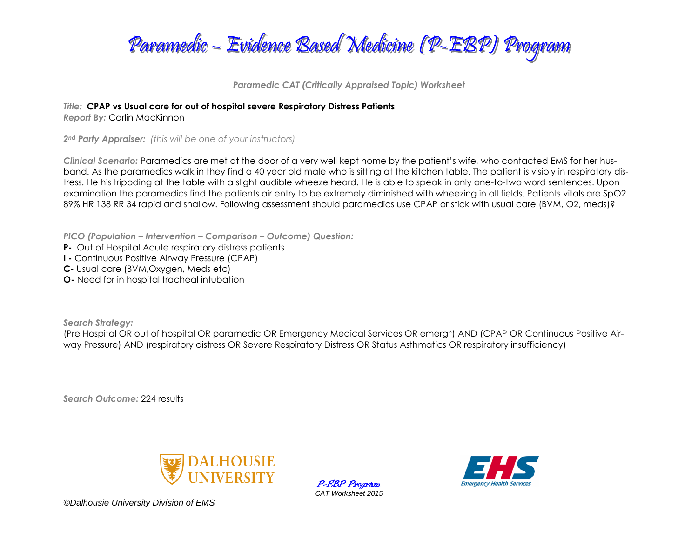

*Paramedic CAT (Critically Appraised Topic) Worksheet*

*Title:* **CPAP vs Usual care for out of hospital severe Respiratory Distress Patients**

*Report By:* Carlin MacKinnon

*2nd Party Appraiser: (this will be one of your instructors)*

*Clinical Scenario:* Paramedics are met at the door of a very well kept home by the patient's wife, who contacted EMS for her husband. As the paramedics walk in they find a 40 year old male who is sitting at the kitchen table. The patient is visibly in respiratory distress. He his tripoding at the table with a slight audible wheeze heard. He is able to speak in only one-to-two word sentences. Upon examination the paramedics find the patients air entry to be extremely diminished with wheezing in all fields. Patients vitals are SpO2 89% HR 138 RR 34 rapid and shallow. Following assessment should paramedics use CPAP or stick with usual care (BVM, O2, meds)?

*PICO (Population – Intervention – Comparison – Outcome) Question:*

- **P-** Out of Hospital Acute respiratory distress patients
- **I -** Continuous Positive Airway Pressure (CPAP)
- **C-** Usual care (BVM,Oxygen, Meds etc)
- **O-** Need for in hospital tracheal intubation

*Search Strategy:*

(Pre Hospital OR out of hospital OR paramedic OR Emergency Medical Services OR emerg\*) AND (CPAP OR Continuous Positive Airway Pressure) AND (respiratory distress OR Severe Respiratory Distress OR Status Asthmatics OR respiratory insufficiency)

*Search Outcome:* 224 results



P-EBP Program *CAT Worksheet 2015*

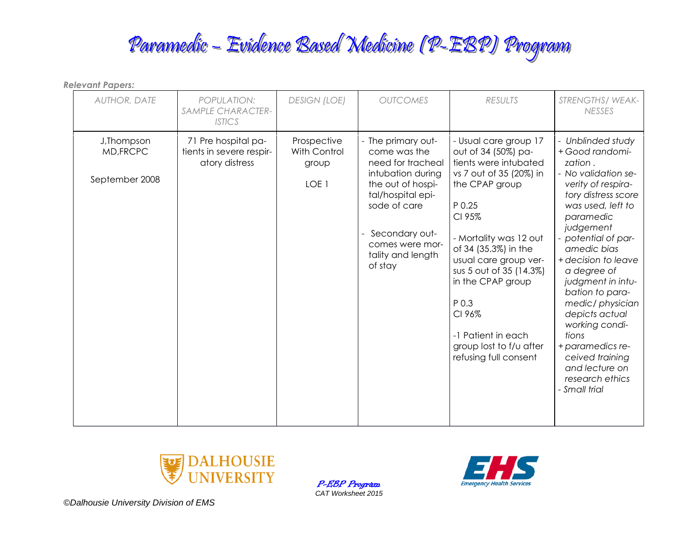| <b>Relevant Papers:</b>                    |                                                                   |                                                          |                                                                                                                                                                                                             |                                                                                                                                                                                                                                                                                                                                                                |                                                                                                                                                                                                                                                                                                                                                                                                                                                   |  |
|--------------------------------------------|-------------------------------------------------------------------|----------------------------------------------------------|-------------------------------------------------------------------------------------------------------------------------------------------------------------------------------------------------------------|----------------------------------------------------------------------------------------------------------------------------------------------------------------------------------------------------------------------------------------------------------------------------------------------------------------------------------------------------------------|---------------------------------------------------------------------------------------------------------------------------------------------------------------------------------------------------------------------------------------------------------------------------------------------------------------------------------------------------------------------------------------------------------------------------------------------------|--|
| <b>AUTHOR, DATE</b>                        | POPULATION:<br>SAMPLE CHARACTER-<br><b>ISTICS</b>                 | <b>DESIGN (LOE)</b>                                      | <b>OUTCOMES</b>                                                                                                                                                                                             | <b>RESULTS</b>                                                                                                                                                                                                                                                                                                                                                 | STRENGTHS/WEAK-<br><b>NESSES</b>                                                                                                                                                                                                                                                                                                                                                                                                                  |  |
| J, Thompson<br>MD, FRCPC<br>September 2008 | 71 Pre hospital pa-<br>tients in severe respir-<br>atory distress | Prospective<br>With Control<br>group<br>LOE <sub>1</sub> | - The primary out-<br>come was the<br>need for tracheal<br>intubation during<br>the out of hospi-<br>tal/hospital epi-<br>sode of care<br>Secondary out-<br>comes were mor-<br>tality and length<br>of stay | - Usual care group 17<br>out of 34 (50%) pa-<br>tients were intubated<br>vs 7 out of 35 (20%) in<br>the CPAP group<br>P 0.25<br>CI 95%<br>- Mortality was 12 out<br>of 34 (35.3%) in the<br>usual care group ver-<br>sus 5 out of 35 (14.3%)<br>in the CPAP group<br>P 0.3<br>CI 96%<br>-1 Patient in each<br>group lost to f/u after<br>refusing full consent | - Unblinded study<br>+ Good randomi-<br>zation.<br>- No validation se-<br>verity of respira-<br>tory distress score<br>was used, left to<br>paramedic<br>judgement<br>potential of par-<br>amedic bias<br>+ decision to leave<br>a degree of<br>judgment in intu-<br>bation to para-<br>medic/physician<br>depicts actual<br>working condi-<br>tions<br>+ paramedics re-<br>ceived training<br>and lecture on<br>research ethics<br>- Small trial |  |



P-EBP Program *CAT Worksheet 2015*

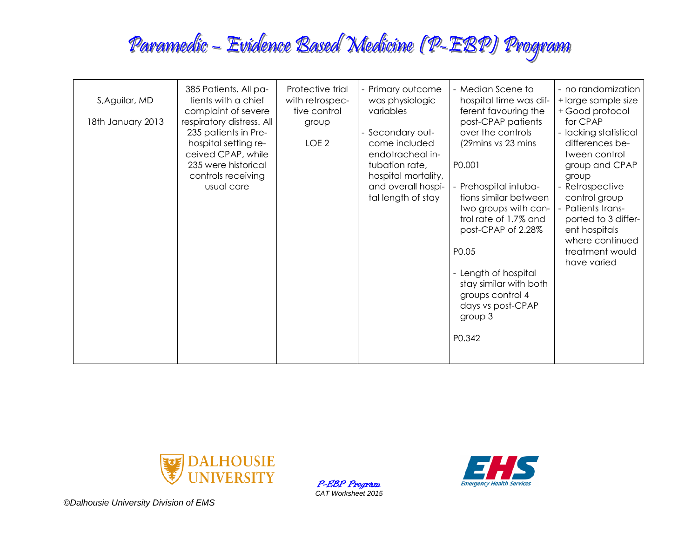| S, Aguilar, MD<br>18th January 2013 | 385 Patients. All pa-<br>tients with a chief<br>complaint of severe<br>respiratory distress. All<br>235 patients in Pre-<br>hospital setting re-<br>ceived CPAP, while<br>235 were historical<br>controls receiving<br>usual care | Protective trial<br>with retrospec-<br>tive control<br>group<br>LOE <sub>2</sub> | Primary outcome<br>was physiologic<br>variables<br>Secondary out-<br>come included<br>endotracheal in-<br>tubation rate,<br>hospital mortality,<br>and overall hospi-<br>tal length of stay | - Median Scene to<br>hospital time was dif-<br>ferent favouring the<br>post-CPAP patients<br>over the controls<br>(29 mins vs 23 mins<br>P0.001<br>Prehospital intuba-<br>tions similar between<br>two groups with con-<br>trol rate of 1.7% and<br>post-CPAP of 2.28%<br>P0.05<br>- Length of hospital<br>stay similar with both<br>groups control 4<br>days vs post-CPAP<br>group 3<br>P0.342 | - no randomization<br>+ large sample size<br>+ Good protocol<br>for CPAP<br>- lacking statistical<br>differences be-<br>tween control<br>group and CPAP<br>group<br>Retrospective<br>control group<br>- Patients trans-<br>ported to 3 differ-<br>ent hospitals<br>where continued<br>treatment would<br>have varied |
|-------------------------------------|-----------------------------------------------------------------------------------------------------------------------------------------------------------------------------------------------------------------------------------|----------------------------------------------------------------------------------|---------------------------------------------------------------------------------------------------------------------------------------------------------------------------------------------|-------------------------------------------------------------------------------------------------------------------------------------------------------------------------------------------------------------------------------------------------------------------------------------------------------------------------------------------------------------------------------------------------|----------------------------------------------------------------------------------------------------------------------------------------------------------------------------------------------------------------------------------------------------------------------------------------------------------------------|
|-------------------------------------|-----------------------------------------------------------------------------------------------------------------------------------------------------------------------------------------------------------------------------------|----------------------------------------------------------------------------------|---------------------------------------------------------------------------------------------------------------------------------------------------------------------------------------------|-------------------------------------------------------------------------------------------------------------------------------------------------------------------------------------------------------------------------------------------------------------------------------------------------------------------------------------------------------------------------------------------------|----------------------------------------------------------------------------------------------------------------------------------------------------------------------------------------------------------------------------------------------------------------------------------------------------------------------|



P-EBP Program *CAT Worksheet 2015*

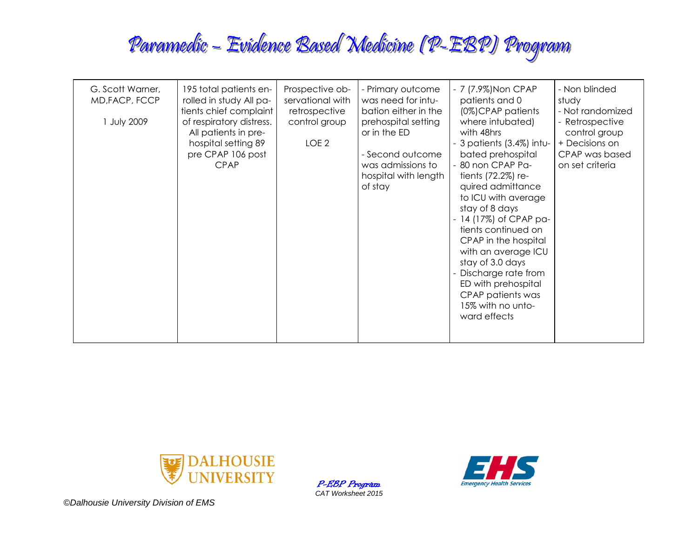| G. Scott Warner,<br>MD, FACP, FCCP<br>1 July 2009 | 195 total patients en-<br>rolled in study All pa-<br>tients chief complaint<br>of respiratory distress.<br>All patients in pre-<br>hospital setting 89<br>pre CPAP 106 post<br><b>CPAP</b> | Prospective ob-<br>servational with<br>retrospective<br>control group<br>LOE <sub>2</sub> | - Primary outcome<br>was need for intu-<br>bation either in the<br>prehospital setting<br>or in the ED<br>- Second outcome<br>was admissions to<br>hospital with length<br>of stay | - 7 (7.9%) Non CPAP<br>patients and 0<br>(0%)CPAP patients<br>where intubated)<br>with 48hrs<br>- 3 patients (3.4%) intu-<br>bated prehospital<br>80 non CPAP Pa-<br>tients (72.2%) re-<br>quired admittance<br>to ICU with average<br>stay of 8 days<br>14 (17%) of CPAP pa-<br>tients continued on<br>CPAP in the hospital<br>with an average ICU<br>stay of 3.0 days<br>Discharge rate from<br>ED with prehospital<br>CPAP patients was<br>15% with no unto-<br>ward effects | - Non blinded<br>study<br>- Not randomized<br>- Retrospective<br>control group<br>+ Decisions on<br>CPAP was based<br>on set criteria |
|---------------------------------------------------|--------------------------------------------------------------------------------------------------------------------------------------------------------------------------------------------|-------------------------------------------------------------------------------------------|------------------------------------------------------------------------------------------------------------------------------------------------------------------------------------|---------------------------------------------------------------------------------------------------------------------------------------------------------------------------------------------------------------------------------------------------------------------------------------------------------------------------------------------------------------------------------------------------------------------------------------------------------------------------------|---------------------------------------------------------------------------------------------------------------------------------------|
|---------------------------------------------------|--------------------------------------------------------------------------------------------------------------------------------------------------------------------------------------------|-------------------------------------------------------------------------------------------|------------------------------------------------------------------------------------------------------------------------------------------------------------------------------------|---------------------------------------------------------------------------------------------------------------------------------------------------------------------------------------------------------------------------------------------------------------------------------------------------------------------------------------------------------------------------------------------------------------------------------------------------------------------------------|---------------------------------------------------------------------------------------------------------------------------------------|



P-EBP Program *CAT Worksheet 2015*

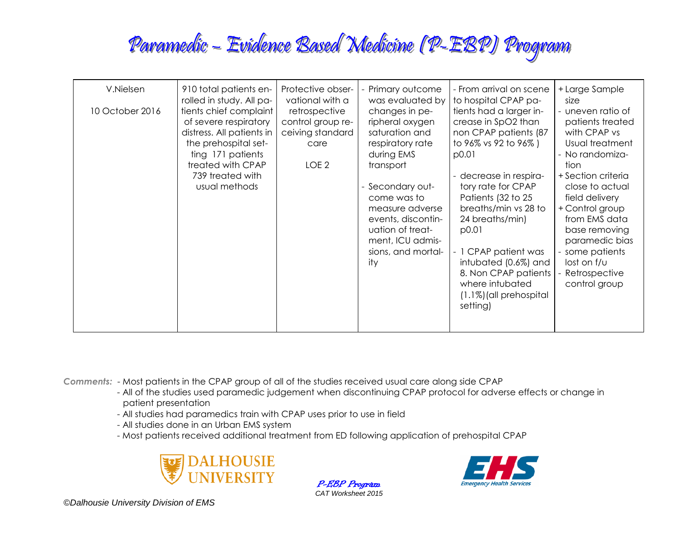| V.Nielsen<br>10 October 2016 | 910 total patients en-<br>rolled in study. All pa-<br>tients chief complaint<br>of severe respiratory<br>distress. All patients in<br>the prehospital set-<br>ting 171 patients<br>treated with CPAP<br>739 treated with<br>usual methods | Protective obser-<br>vational with a<br>retrospective<br>control group re-<br>ceiving standard<br>care<br>LOE <sub>2</sub> | Primary outcome<br>was evaluated by<br>changes in pe-<br>ripheral oxygen<br>saturation and<br>respiratory rate<br>during EMS<br>transport<br>- Secondary out-<br>come was to<br>measure adverse<br>events, discontin-<br>uation of treat-<br>ment, ICU admis-<br>sions, and mortal-<br>ity | - From arrival on scene<br>to hospital CPAP pa-<br>tients had a larger in-<br>crease in SpO2 than<br>non CPAP patients (87<br>to 96% vs 92 to 96%)<br>p0.01<br>decrease in respira-<br>tory rate for CPAP<br>Patients (32 to 25<br>breaths/min vs 28 to<br>24 breaths/min)<br>p0.01<br>- 1 CPAP patient was<br>intubated (0.6%) and<br>8. Non CPAP patients<br>where intubated<br>(1.1%) (all prehospital<br>setting) | + Large Sample<br>size<br>- uneven ratio of<br>patients treated<br>with CPAP vs<br>Usual treatment<br>- No randomiza-<br>tion<br>+ Section criteria<br>close to actual<br>field delivery<br>+ Control group<br>from EMS data<br>base removing<br>paramedic bias<br>some patients<br>lost on $f/\upsilon$<br>Retrospective<br>control group |
|------------------------------|-------------------------------------------------------------------------------------------------------------------------------------------------------------------------------------------------------------------------------------------|----------------------------------------------------------------------------------------------------------------------------|--------------------------------------------------------------------------------------------------------------------------------------------------------------------------------------------------------------------------------------------------------------------------------------------|-----------------------------------------------------------------------------------------------------------------------------------------------------------------------------------------------------------------------------------------------------------------------------------------------------------------------------------------------------------------------------------------------------------------------|--------------------------------------------------------------------------------------------------------------------------------------------------------------------------------------------------------------------------------------------------------------------------------------------------------------------------------------------|
|------------------------------|-------------------------------------------------------------------------------------------------------------------------------------------------------------------------------------------------------------------------------------------|----------------------------------------------------------------------------------------------------------------------------|--------------------------------------------------------------------------------------------------------------------------------------------------------------------------------------------------------------------------------------------------------------------------------------------|-----------------------------------------------------------------------------------------------------------------------------------------------------------------------------------------------------------------------------------------------------------------------------------------------------------------------------------------------------------------------------------------------------------------------|--------------------------------------------------------------------------------------------------------------------------------------------------------------------------------------------------------------------------------------------------------------------------------------------------------------------------------------------|

*Comments:* - Most patients in the CPAP group of all of the studies received usual care along side CPAP

- All of the studies used paramedic judgement when discontinuing CPAP protocol for adverse effects or change in g. patient presentation
- All studies had paramedics train with CPAP uses prior to use in field
- All studies done in an Urban EMS system
- Most patients received additional treatment from ED following application of prehospital CPAP



P-EBP Program *CAT Worksheet 2015*